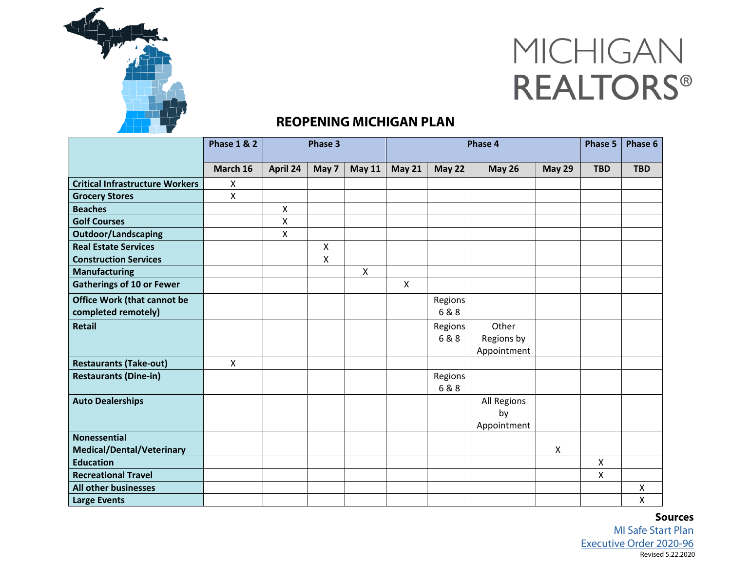

## MICHIGAN **REALTORS®**

## **REOPENING MICHIGAN PLAN**

|                                                           | <b>Phase 1 &amp; 2</b> | Phase 3      |       |               | Phase 4                   |                |                                    |               | Phase 5      | Phase 6    |
|-----------------------------------------------------------|------------------------|--------------|-------|---------------|---------------------------|----------------|------------------------------------|---------------|--------------|------------|
|                                                           | March 16               | April 24     | May 7 | <b>May 11</b> | <b>May 21</b>             | <b>May 22</b>  | <b>May 26</b>                      | <b>May 29</b> | <b>TBD</b>   | <b>TBD</b> |
| <b>Critical Infrastructure Workers</b>                    | X                      |              |       |               |                           |                |                                    |               |              |            |
| <b>Grocery Stores</b>                                     | $\pmb{\times}$         |              |       |               |                           |                |                                    |               |              |            |
| <b>Beaches</b>                                            |                        | X            |       |               |                           |                |                                    |               |              |            |
| <b>Golf Courses</b>                                       |                        | $\mathsf{X}$ |       |               |                           |                |                                    |               |              |            |
| <b>Outdoor/Landscaping</b>                                |                        | X            |       |               |                           |                |                                    |               |              |            |
| <b>Real Estate Services</b>                               |                        |              | Χ     |               |                           |                |                                    |               |              |            |
| <b>Construction Services</b>                              |                        |              | Χ     |               |                           |                |                                    |               |              |            |
| <b>Manufacturing</b>                                      |                        |              |       | $\mathsf{X}$  |                           |                |                                    |               |              |            |
| <b>Gatherings of 10 or Fewer</b>                          |                        |              |       |               | $\boldsymbol{\mathsf{X}}$ |                |                                    |               |              |            |
| <b>Office Work (that cannot be</b><br>completed remotely) |                        |              |       |               |                           | Regions<br>6&8 |                                    |               |              |            |
| <b>Retail</b>                                             |                        |              |       |               |                           | Regions<br>6&8 | Other<br>Regions by<br>Appointment |               |              |            |
| <b>Restaurants (Take-out)</b>                             | $\mathsf{X}$           |              |       |               |                           |                |                                    |               |              |            |
| <b>Restaurants (Dine-in)</b>                              |                        |              |       |               |                           | Regions<br>6&8 |                                    |               |              |            |
| <b>Auto Dealerships</b>                                   |                        |              |       |               |                           |                | All Regions<br>by<br>Appointment   |               |              |            |
| <b>Nonessential</b><br><b>Medical/Dental/Veterinary</b>   |                        |              |       |               |                           |                |                                    | X             |              |            |
| <b>Education</b>                                          |                        |              |       |               |                           |                |                                    |               | X            |            |
| <b>Recreational Travel</b>                                |                        |              |       |               |                           |                |                                    |               | $\mathsf{X}$ |            |
| <b>All other businesses</b>                               |                        |              |       |               |                           |                |                                    |               |              | Χ          |
| <b>Large Events</b>                                       |                        |              |       |               |                           |                |                                    |               |              | X          |

Revised 5.22.2020 **Sources**  [MI Safe Start Plan](https://www.michigan.gov/documents/whitmer/MI_SAFE_START_PLAN_689875_7.pdf) [Executive Order 2020-96](https://content.govdelivery.com/attachments/MIEOG/2020/05/21/file_attachments/1456636/EO%202020-96%20Emerg%20order%20-%20MI%20Safe%20Start%20-%20re-issue.pdf)